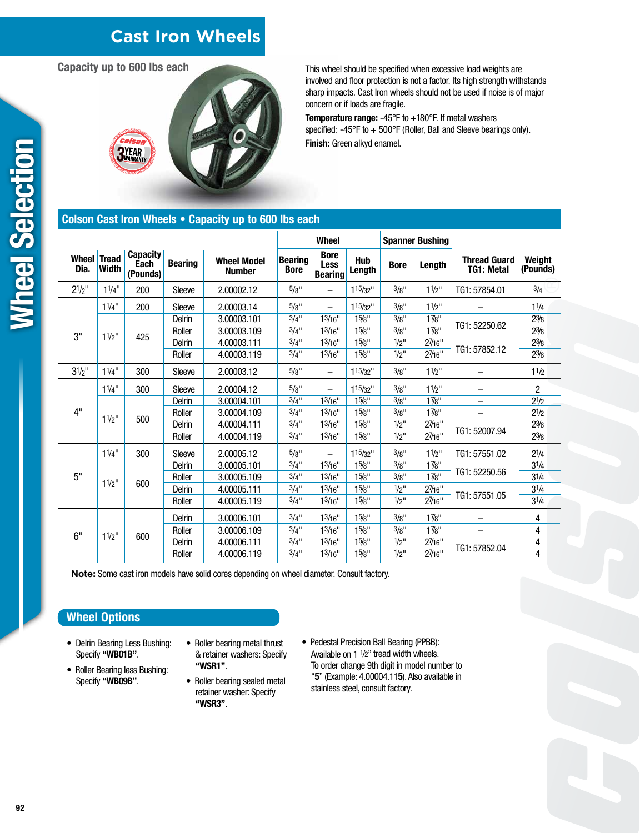# **Cast Iron Wheels**

**Capacity up to 600 lbs each**



This wheel should be specified when excessive load weights are involved and floor protection is not a factor. Its high strength withstands sharp impacts. Cast Iron wheels should not be used if noise is of major concern or if loads are fragile.

**Temperature range:** -45°F to +180°F. If metal washers specified: -45°F to + 500°F (Roller, Ball and Sleeve bearings only). **Finish:** Green alkyd enamel.

### **Colson Cast Iron Wheels • Capacity up to 600 lbs each**

|               |                              |                                     |                |                                     | <b>Wheel</b>                  |                                              |                      | <b>Spanner Bushing</b> |                  |                                          |                    |
|---------------|------------------------------|-------------------------------------|----------------|-------------------------------------|-------------------------------|----------------------------------------------|----------------------|------------------------|------------------|------------------------------------------|--------------------|
| Wheel<br>Dia. | <b>Tread</b><br><b>Width</b> | <b>Capacity</b><br>Each<br>(Pounds) | <b>Bearing</b> | <b>Wheel Model</b><br><b>Number</b> | <b>Bearing</b><br><b>Bore</b> | <b>Bore</b><br><b>Less</b><br><b>Bearing</b> | <b>Hub</b><br>Length | <b>Bore</b>            | Length           | <b>Thread Guard</b><br><b>TG1: Metal</b> | Weight<br>(Pounds) |
| $2^{1/2}$     | $11/4$ "                     | 200                                 | Sleeve         | 2.00002.12                          | 5/g''                         | —                                            | 115/32"              | 3/8"                   | $11/2$ "         | TG1: 57854.01                            | 3/4                |
| 3"            | $11/4$ <sup>11</sup>         | 200                                 | Sleeve         | 2.00003.14                          | $5/8$ "                       |                                              | 115/32"              | 3/8"                   | $11/2$ "         |                                          | 11/4               |
|               | $11/2$ "                     | 425                                 | Delrin         | 3.00003.101                         | $3/4$ <sup>11</sup>           | 13/16"                                       | 15/8"                | 3/8"                   | 17/8"            | TG1: 52250.62                            | $2\frac{3}{8}$     |
|               |                              |                                     | Roller         | 3.00003.109                         | $3/4$ "                       | 1 <sup>3</sup> /16"                          | 15/8"                | 3/8"                   | $1\frac{7}{8}$ " |                                          | $2\frac{3}{8}$     |
|               |                              |                                     | Delrin         | 4.00003.111                         | $3/4$ <sup>11</sup>           | 13/16"                                       | 15/8"                | $1/2$ "                | 27/16"           | TG1: 57852.12                            | $2\frac{3}{8}$     |
|               |                              |                                     | Roller         | 4.00003.119                         | $3/4$ "                       | 13/16"                                       | 15/8"                | $1/2$ "                | 27/16"           |                                          | $2\frac{3}{8}$     |
| $3^{1/2}$ "   | $11/4$ <sup>11</sup>         | 300                                 | Sleeve         | 2.00003.12                          | $5/8$ "                       | $\overline{\phantom{0}}$                     | $115/32$ "           | 3/8"                   | $11/2$ "         |                                          | 11/2               |
| 4"            | $11/4$ <sup>11</sup>         | 300                                 | Sleeve         | 2.00004.12                          | 5/8"                          | -                                            | $115/32$ "           | 3/8"                   | $11/2$ "         |                                          | $\overline{2}$     |
|               | $11/2$ "                     | 500                                 | <b>Delrin</b>  | 3.00004.101                         | $3/4$ <sup>11</sup>           | 13/16"                                       | 15/8"                | 3/8"                   | 17/8"            |                                          | 21/2               |
|               |                              |                                     | Roller         | 3.00004.109                         | $3/4$ "                       | 1 <sup>3</sup> /16"                          | 15/8"                | 3/g''                  | $1\frac{7}{8}$ " |                                          | $2^{1/2}$          |
|               |                              |                                     | Delrin         | 4.00004.111                         | $3/4$ "                       | 13/16"                                       | 15/8"                | $1/2$ "                | $2\%6"$          | TG1: 52007.94                            | $2\frac{3}{8}$     |
|               |                              |                                     | Roller         | 4.00004.119                         | $3/4$ "                       | 13/16"                                       | 15/8"                | $1/2$ "                | 27/16"           |                                          | $2\frac{3}{8}$     |
| 5"            | $11/4$ <sup>11</sup>         | 300                                 | Sleeve         | 2.00005.12                          | 5/8"                          | -                                            | $115/32$ "           | 3/8"                   | 11/2"            | TG1: 57551.02                            | 21/4               |
|               | $11/2$ "                     | 600                                 | Delrin         | 3.00005.101                         | $3/4$ "                       | 13/16"                                       | 15/8"                | 3/8"                   | 17/8"            | TG1: 52250.56                            | $3^{1/4}$          |
|               |                              |                                     | Roller         | 3.00005.109                         | $3/4$ "                       | 1 <sup>3</sup> /16"                          | 15/8"                | 3/8"                   | $1\frac{7}{8}$ " |                                          | $3^{1/4}$          |
|               |                              |                                     | Delrin         | 4.00005.111                         | $3/4$ <sup>11</sup>           | 13/16"                                       | 15/8"                | $1/2$ "                | 27/16"           | TG1: 57551.05                            | $3^{1/4}$          |
|               |                              |                                     | Roller         | 4.00005.119                         | $3/4$ "                       | 13/16"                                       | 15/8"                | $1/2$ "                | 27/16"           |                                          | $3^{1/4}$          |
| 6"            | $11/2$ "                     | 600                                 | Delrin         | 3.00006.101                         | $3/4$ "                       | 13/16"                                       | 15/8"                | 3/8"                   | 17/8"            |                                          | 4                  |
|               |                              |                                     | Roller         | 3.00006.109                         | $3/4$ "                       | 13/16"                                       | 15/8"                | 3/8"                   | 17/8"            |                                          | 4                  |
|               |                              |                                     | Delrin         | 4.00006.111                         | 3/4"                          | 1 <sup>3</sup> /16"                          | 15/8"                | $1/2$ "                | $2\%6"$          | TG1: 57852.04                            | 4                  |
|               |                              |                                     | Roller         | 4.00006.119                         | $3/4$ "                       | 13/16"                                       | 15/8"                | $1/2$ "                | 27/16"           |                                          | 4                  |

**Note:** Some cast iron models have solid cores depending on wheel diameter. Consult factory.

## **Wheel Options**

- Delrin Bearing Less Bushing: Specify **"WB01B"**.
- Roller Bearing less Bushing: Specify **"WB09B"**.
- Roller bearing metal thrust & retainer washers: Specify **"WSR1"**.
- Roller bearing sealed metal retainer washer: Specify **"WSR3"**.
- Pedestal Precision Ball Bearing (PPBB): Available on 1 1/2" tread width wheels. To order change 9th digit in model number to "**5**" (Example: 4.00004.11**5**). Also available in stainless steel, consult factory.